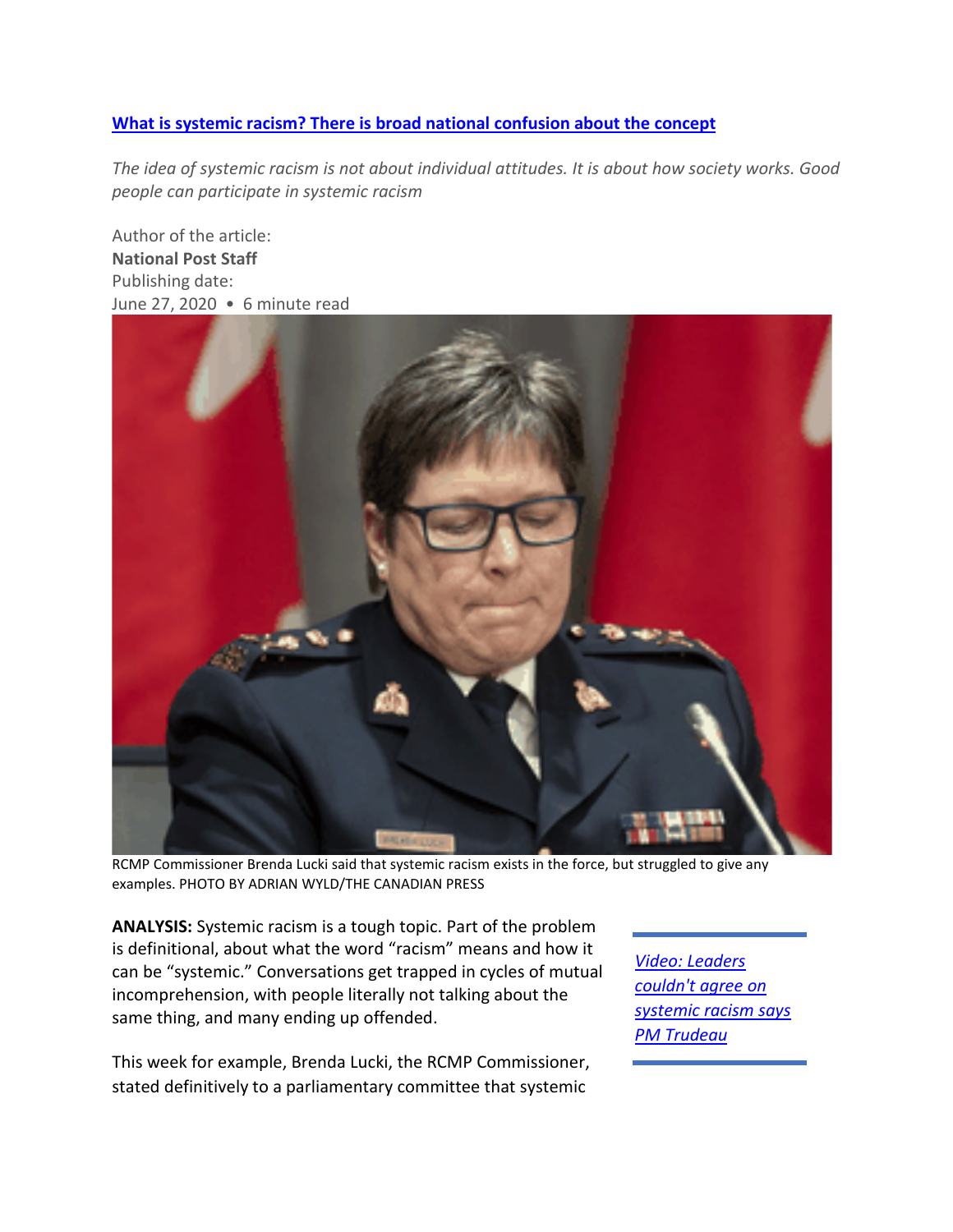## **[What is systemic racism? There is broad national confusion about the concept](https://nationalpost.com/news/what-is-systemic-racism-there-is-broad-national-confusion-about-the-concept)**

*The idea of systemic racism is not about individual attitudes. It is about how society works. Good people can participate in systemic racism*

Author of the article: **National Post Staff** Publishing date: June 27, 2020 • 6 minute read



RCMP Commissioner Brenda Lucki said that systemic racism exists in the force, but struggled to give any examples. PHOTO BY ADRIAN WYLD/THE CANADIAN PRESS

**ANALYSIS:** Systemic racism is a tough topic. Part of the problem is definitional, about what the word "racism" means and how it can be "systemic." Conversations get trapped in cycles of mutual incomprehension, with people literally not talking about the same thing, and many ending up offended.

This week for example, Brenda Lucki, the RCMP Commissioner, stated definitively to a parliamentary committee that systemic

*[Video: Leaders](https://www.youtube.com/watch?v=tOjVS2mOsec&t=21s)  [couldn't agree on](https://www.youtube.com/watch?v=tOjVS2mOsec&t=21s)  [systemic racism says](https://www.youtube.com/watch?v=tOjVS2mOsec&t=21s)  [PM Trudeau](https://www.youtube.com/watch?v=tOjVS2mOsec&t=21s)*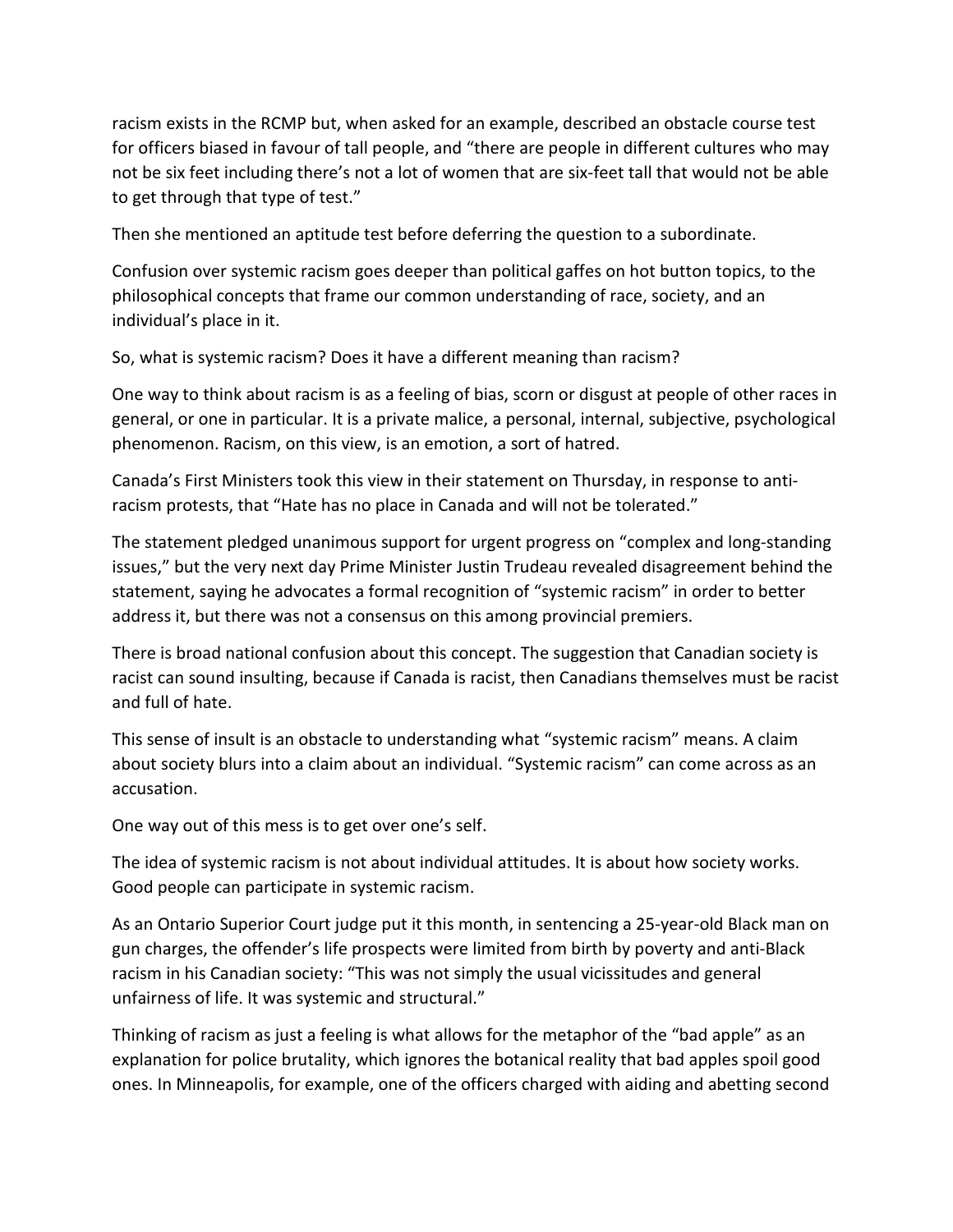racism exists in the RCMP but, when asked for an example, described an obstacle course test for officers biased in favour of tall people, and "there are people in different cultures who may not be six feet including there's not a lot of women that are six-feet tall that would not be able to get through that type of test."

Then she mentioned an aptitude test before deferring the question to a subordinate.

Confusion over systemic racism goes deeper than political gaffes on hot button topics, to the philosophical concepts that frame our common understanding of race, society, and an individual's place in it.

So, what is systemic racism? Does it have a different meaning than racism?

One way to think about racism is as a feeling of bias, scorn or disgust at people of other races in general, or one in particular. It is a private malice, a personal, internal, subjective, psychological phenomenon. Racism, on this view, is an emotion, a sort of hatred.

Canada's First Ministers took this view in their statement on Thursday, in response to antiracism protests, that "Hate has no place in Canada and will not be tolerated."

The statement pledged unanimous support for urgent progress on "complex and long-standing issues," but the very next day Prime Minister Justin Trudeau revealed disagreement behind the statement, saying he advocates a formal recognition of "systemic racism" in order to better address it, but there was not a consensus on this among provincial premiers.

There is broad national confusion about this concept. The suggestion that Canadian society is racist can sound insulting, because if Canada is racist, then Canadians themselves must be racist and full of hate.

This sense of insult is an obstacle to understanding what "systemic racism" means. A claim about society blurs into a claim about an individual. "Systemic racism" can come across as an accusation.

One way out of this mess is to get over one's self.

The idea of systemic racism is not about individual attitudes. It is about how society works. Good people can participate in systemic racism.

As an Ontario Superior Court judge put it this month, in sentencing a 25-year-old Black man on gun charges, the offender's life prospects were limited from birth by poverty and anti-Black racism in his Canadian society: "This was not simply the usual vicissitudes and general unfairness of life. It was systemic and structural."

Thinking of racism as just a feeling is what allows for the metaphor of the "bad apple" as an explanation for police brutality, which ignores the botanical reality that bad apples spoil good ones. In Minneapolis, for example, one of the officers charged with aiding and abetting second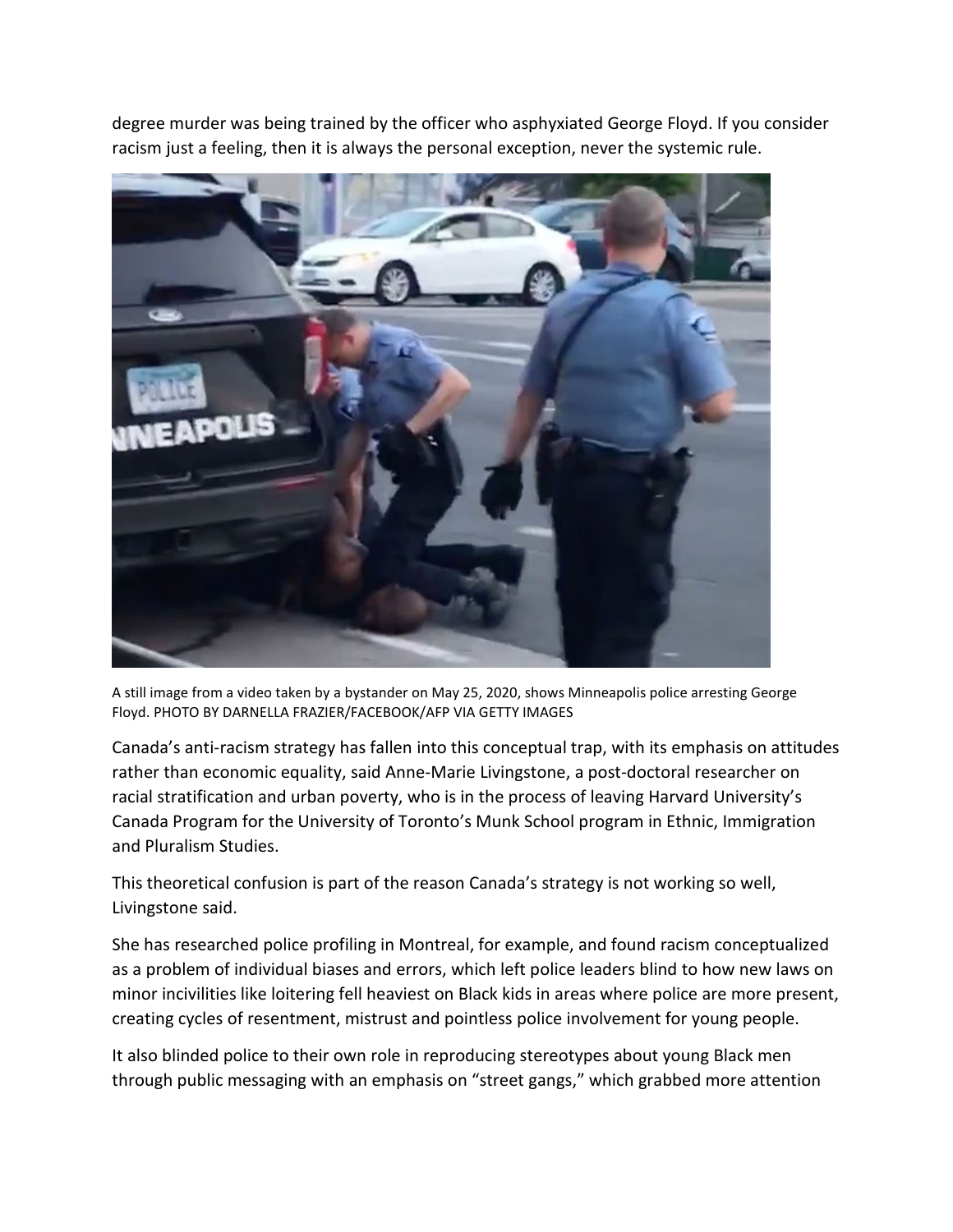degree murder was being trained by the officer who asphyxiated George Floyd. If you consider racism just a feeling, then it is always the personal exception, never the systemic rule.



A still image from a video taken by a bystander on May 25, 2020, shows Minneapolis police arresting George Floyd. PHOTO BY DARNELLA FRAZIER/FACEBOOK/AFP VIA GETTY IMAGES

Canada's anti-racism strategy has fallen into this conceptual trap, with its emphasis on attitudes rather than economic equality, said Anne-Marie Livingstone, a post-doctoral researcher on racial stratification and urban poverty, who is in the process of leaving Harvard University's Canada Program for the University of Toronto's Munk School program in Ethnic, Immigration and Pluralism Studies.

This theoretical confusion is part of the reason Canada's strategy is not working so well, Livingstone said.

She has researched police profiling in Montreal, for example, and found racism conceptualized as a problem of individual biases and errors, which left police leaders blind to how new laws on minor incivilities like loitering fell heaviest on Black kids in areas where police are more present, creating cycles of resentment, mistrust and pointless police involvement for young people.

It also blinded police to their own role in reproducing stereotypes about young Black men through public messaging with an emphasis on "street gangs," which grabbed more attention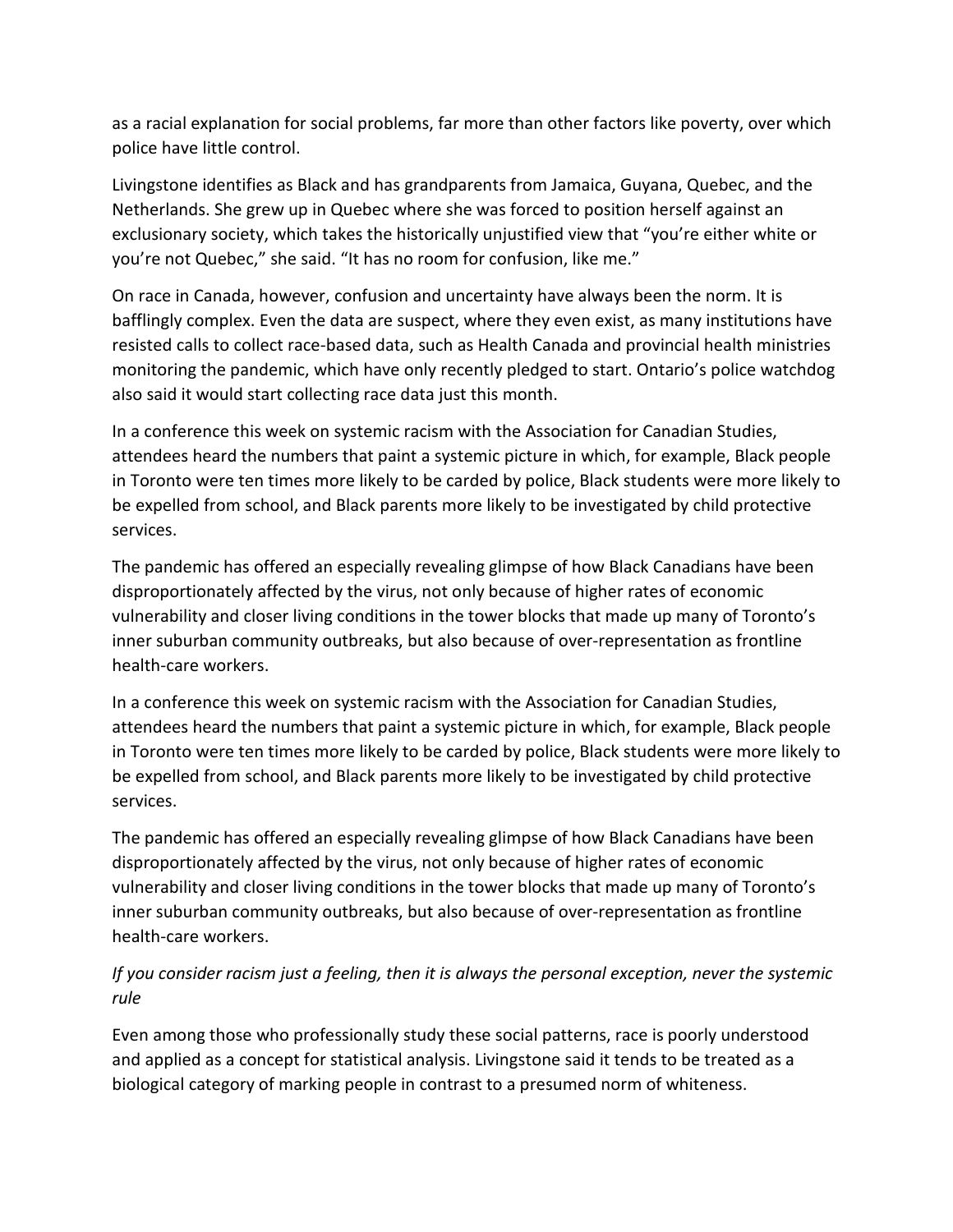as a racial explanation for social problems, far more than other factors like poverty, over which police have little control.

Livingstone identifies as Black and has grandparents from Jamaica, Guyana, Quebec, and the Netherlands. She grew up in Quebec where she was forced to position herself against an exclusionary society, which takes the historically unjustified view that "you're either white or you're not Quebec," she said. "It has no room for confusion, like me."

On race in Canada, however, confusion and uncertainty have always been the norm. It is bafflingly complex. Even the data are suspect, where they even exist, as many institutions have resisted calls to collect race-based data, such as Health Canada and provincial health ministries monitoring the pandemic, which have only recently pledged to start. Ontario's police watchdog also said it would start collecting race data just this month.

In a conference this week on systemic racism with the Association for Canadian Studies, attendees heard the numbers that paint a systemic picture in which, for example, Black people in Toronto were ten times more likely to be carded by police, Black students were more likely to be expelled from school, and Black parents more likely to be investigated by child protective services.

The pandemic has offered an especially revealing glimpse of how Black Canadians have been disproportionately affected by the virus, not only because of higher rates of economic vulnerability and closer living conditions in the tower blocks that made up many of Toronto's inner suburban community outbreaks, but also because of over-representation as frontline health-care workers.

In a conference this week on systemic racism with the Association for Canadian Studies, attendees heard the numbers that paint a systemic picture in which, for example, Black people in Toronto were ten times more likely to be carded by police, Black students were more likely to be expelled from school, and Black parents more likely to be investigated by child protective services.

The pandemic has offered an especially revealing glimpse of how Black Canadians have been disproportionately affected by the virus, not only because of higher rates of economic vulnerability and closer living conditions in the tower blocks that made up many of Toronto's inner suburban community outbreaks, but also because of over-representation as frontline health-care workers.

## *If you consider racism just a feeling, then it is always the personal exception, never the systemic rule*

Even among those who professionally study these social patterns, race is poorly understood and applied as a concept for statistical analysis. Livingstone said it tends to be treated as a biological category of marking people in contrast to a presumed norm of whiteness.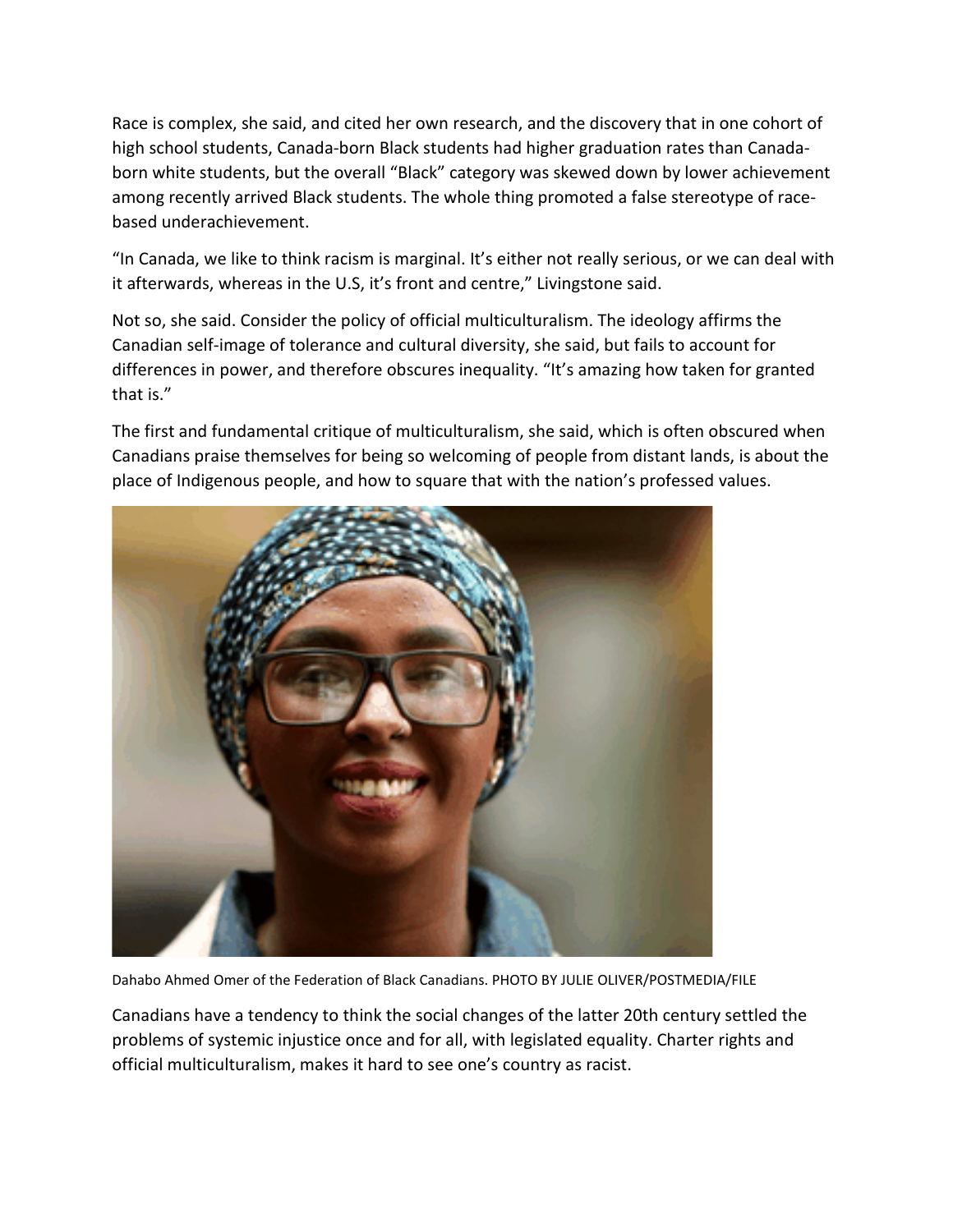Race is complex, she said, and cited her own research, and the discovery that in one cohort of high school students, Canada-born Black students had higher graduation rates than Canadaborn white students, but the overall "Black" category was skewed down by lower achievement among recently arrived Black students. The whole thing promoted a false stereotype of racebased underachievement.

"In Canada, we like to think racism is marginal. It's either not really serious, or we can deal with it afterwards, whereas in the U.S, it's front and centre," Livingstone said.

Not so, she said. Consider the policy of official multiculturalism. The ideology affirms the Canadian self-image of tolerance and cultural diversity, she said, but fails to account for differences in power, and therefore obscures inequality. "It's amazing how taken for granted that is."

The first and fundamental critique of multiculturalism, she said, which is often obscured when Canadians praise themselves for being so welcoming of people from distant lands, is about the place of Indigenous people, and how to square that with the nation's professed values.



Dahabo Ahmed Omer of the Federation of Black Canadians. PHOTO BY JULIE OLIVER/POSTMEDIA/FILE

Canadians have a tendency to think the social changes of the latter 20th century settled the problems of systemic injustice once and for all, with legislated equality. Charter rights and official multiculturalism, makes it hard to see one's country as racist.